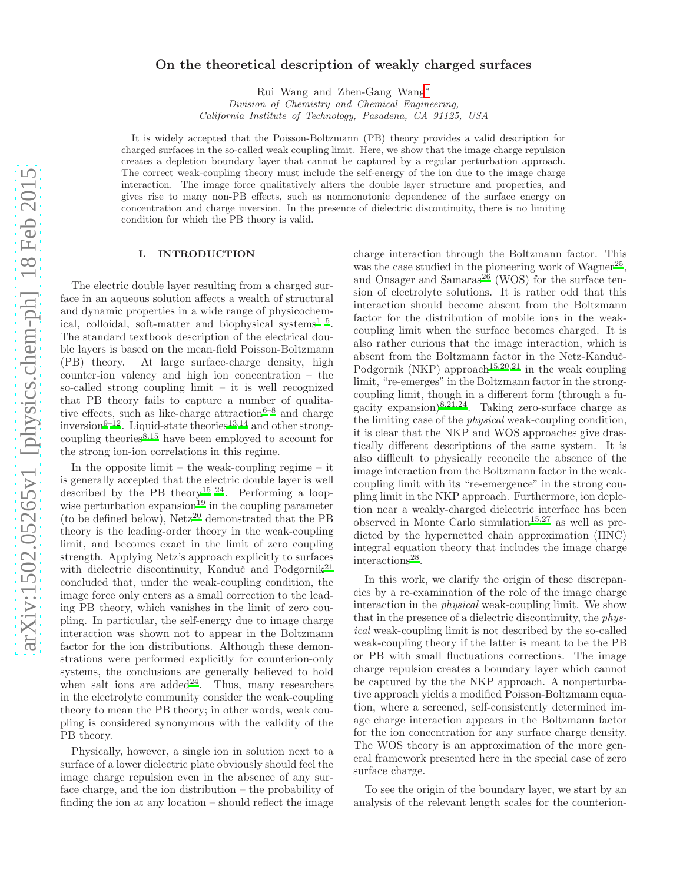# arXiv:1502.05265v1 [physics.chem-ph] 18 Feb 2015 [arXiv:1502.05265v1 \[physics.chem-ph\] 18 Feb 2015](http://arxiv.org/abs/1502.05265v1)

# On the theoretical description of weakly charged surfaces

Rui Wang and Zhen-Gang Wang[∗](#page-8-0) Division of Chemistry and Chemical Engineering, California Institute of Technology, Pasadena, CA 91125, USA

It is widely accepted that the Poisson-Boltzmann (PB) theory provides a valid description for charged surfaces in the so-called weak coupling limit. Here, we show that the image charge repulsion creates a depletion boundary layer that cannot be captured by a regular perturbation approach. The correct weak-coupling theory must include the self-energy of the ion due to the image charge interaction. The image force qualitatively alters the double layer structure and properties, and gives rise to many non-PB effects, such as nonmonotonic dependence of the surface energy on concentration and charge inversion. In the presence of dielectric discontinuity, there is no limiting condition for which the PB theory is valid.

# I. INTRODUCTION

The electric double layer resulting from a charged surface in an aqueous solution affects a wealth of structural and dynamic properties in a wide range of physicochem-ical, colloidal, soft-matter and biophysical systems<sup>[1](#page-8-1)-5</sup>. The standard textbook description of the electrical double layers is based on the mean-field Poisson-Boltzmann (PB) theory. At large surface-charge density, high counter-ion valency and high ion concentration – the so-called strong coupling limit – it is well recognized that PB theory fails to capture a number of qualita-tive effects, such as like-charge attraction<sup>[6](#page-8-3)[–8](#page-8-4)</sup> and charge inversion $9-12$  $9-12$ . Liquid-state theories<sup>[13](#page-8-7)[,14](#page-8-8)</sup> and other strong-coupling theories<sup>[8](#page-8-4)[,15](#page-8-9)</sup> have been employed to account for the strong ion-ion correlations in this regime.

In the opposite limit – the weak-coupling regime – it is generally accepted that the electric double layer is well described by the PB theory<sup>[15](#page-8-9)[–24](#page-8-10)</sup>. Performing a loop-wise perturbation expansion<sup>[19](#page-8-11)</sup> in the coupling parameter (to be defined below),  $Netz^{20}$  $Netz^{20}$  $Netz^{20}$  demonstrated that the PB theory is the leading-order theory in the weak-coupling limit, and becomes exact in the limit of zero coupling strength. Applying Netz's approach explicitly to surfaces with dielectric discontinuity, Kanduč and Podgornik<sup>[21](#page-8-13)</sup> concluded that, under the weak-coupling condition, the image force only enters as a small correction to the leading PB theory, which vanishes in the limit of zero coupling. In particular, the self-energy due to image charge interaction was shown not to appear in the Boltzmann factor for the ion distributions. Although these demonstrations were performed explicitly for counterion-only systems, the conclusions are generally believed to hold when salt ions are added<sup>[24](#page-8-10)</sup>. Thus, many researchers in the electrolyte community consider the weak-coupling theory to mean the PB theory; in other words, weak coupling is considered synonymous with the validity of the PB theory.

Physically, however, a single ion in solution next to a surface of a lower dielectric plate obviously should feel the image charge repulsion even in the absence of any surface charge, and the ion distribution – the probability of finding the ion at any location – should reflect the image charge interaction through the Boltzmann factor. This was the case studied in the pioneering work of Wagner<sup>[25](#page-8-14)</sup>, and Onsager and Samaras<sup>[26](#page-8-15)</sup> (WOS) for the surface tension of electrolyte solutions. It is rather odd that this interaction should become absent from the Boltzmann factor for the distribution of mobile ions in the weakcoupling limit when the surface becomes charged. It is also rather curious that the image interaction, which is absent from the Boltzmann factor in the Netz-Kanduč-Podgornik (NKP) approach<sup>[15,](#page-8-9)[20](#page-8-12)[,21](#page-8-13)</sup> in the weak coupling limit, "re-emerges" in the Boltzmann factor in the strongcoupling limit, though in a different form (through a fugacity expansion) $8,21,24$  $8,21,24$  $8,21,24$ . Taking zero-surface charge as the limiting case of the physical weak-coupling condition, it is clear that the NKP and WOS approaches give drastically different descriptions of the same system. It is also difficult to physically reconcile the absence of the image interaction from the Boltzmann factor in the weakcoupling limit with its "re-emergence" in the strong coupling limit in the NKP approach. Furthermore, ion depletion near a weakly-charged dielectric interface has been observed in Monte Carlo simulation<sup>[15](#page-8-9)[,27](#page-8-16)</sup> as well as predicted by the hypernetted chain approximation (HNC) integral equation theory that includes the image charge interactions<sup>[28](#page-8-17)</sup>.

In this work, we clarify the origin of these discrepancies by a re-examination of the role of the image charge interaction in the physical weak-coupling limit. We show that in the presence of a dielectric discontinuity, the physical weak-coupling limit is not described by the so-called weak-coupling theory if the latter is meant to be the PB or PB with small fluctuations corrections. The image charge repulsion creates a boundary layer which cannot be captured by the the NKP approach. A nonperturbative approach yields a modified Poisson-Boltzmann equation, where a screened, self-consistently determined image charge interaction appears in the Boltzmann factor for the ion concentration for any surface charge density. The WOS theory is an approximation of the more general framework presented here in the special case of zero surface charge.

To see the origin of the boundary layer, we start by an analysis of the relevant length scales for the counterion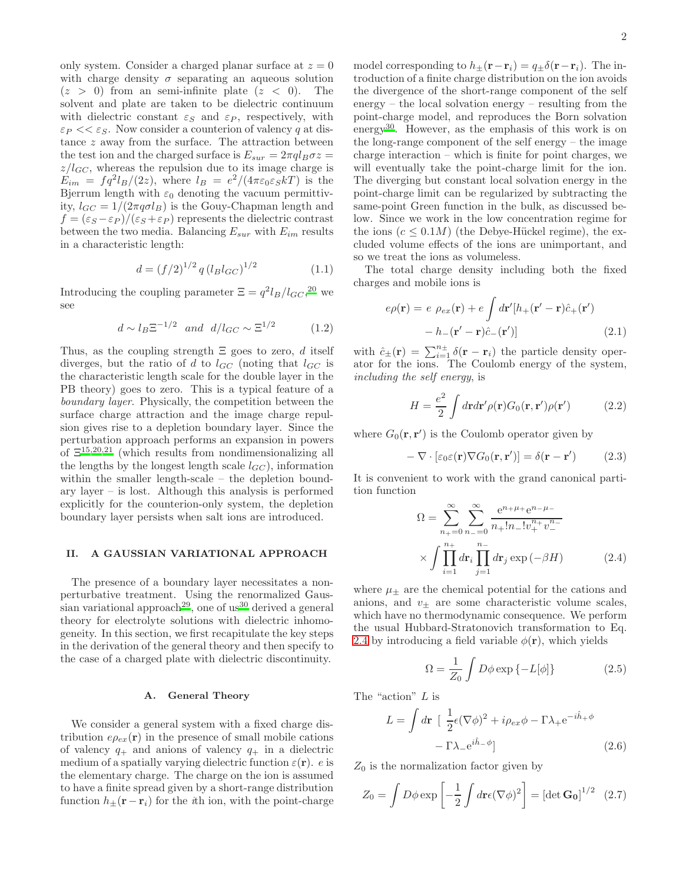only system. Consider a charged planar surface at  $z = 0$ with charge density  $\sigma$  separating an aqueous solution  $(z > 0)$  from an semi-infinite plate  $(z < 0)$ . The solvent and plate are taken to be dielectric continuum with dielectric constant  $\varepsilon_S$  and  $\varepsilon_P$ , respectively, with  $\varepsilon_P \ll \varepsilon_S$ . Now consider a counterion of valency q at distance z away from the surface. The attraction between the test ion and the charged surface is  $E_{sur} = 2\pi q l_B \sigma z =$  $z/l_{GC}$ , whereas the repulsion due to its image charge is  $E_{im} = f q^2 l_B/(2z)$ , where  $l_B = e^2/(4\pi \varepsilon_0 \varepsilon_S kT)$  is the Bjerrum length with  $\varepsilon_0$  denoting the vacuum permittivity,  $l_{GC} = 1/(2\pi q \sigma l_B)$  is the Gouy-Chapman length and  $f = (\varepsilon_S - \varepsilon_P)/(\varepsilon_S + \varepsilon_P)$  represents the dielectric contrast between the two media. Balancing  $E_{sur}$  with  $E_{im}$  results in a characteristic length:

<span id="page-1-4"></span>
$$
d = (f/2)^{1/2} q (l_B l_{GC})^{1/2}
$$
 (1.1)

Introducing the coupling parameter  $\Xi = q^2 l_B/l_{GC}^{20}$  $\Xi = q^2 l_B/l_{GC}^{20}$  $\Xi = q^2 l_B/l_{GC}^{20}$ , we see

<span id="page-1-5"></span>
$$
d \sim l_B \Xi^{-1/2} \quad and \quad d/l_{GC} \sim \Xi^{1/2} \tag{1.2}
$$

Thus, as the coupling strength  $\Xi$  goes to zero, d itself diverges, but the ratio of d to  $l_{GC}$  (noting that  $l_{GC}$  is the characteristic length scale for the double layer in the PB theory) goes to zero. This is a typical feature of a boundary layer. Physically, the competition between the surface charge attraction and the image charge repulsion gives rise to a depletion boundary layer. Since the perturbation approach performs an expansion in powers of  $\Xi^{15,20,21}$  $\Xi^{15,20,21}$  $\Xi^{15,20,21}$  $\Xi^{15,20,21}$  $\Xi^{15,20,21}$  (which results from nondimensionalizing all the lengths by the longest length scale  $l_{GC}$ ), information within the smaller length-scale – the depletion boundary layer – is lost. Although this analysis is performed explicitly for the counterion-only system, the depletion boundary layer persists when salt ions are introduced.

# II. A GAUSSIAN VARIATIONAL APPROACH

The presence of a boundary layer necessitates a nonperturbative treatment. Using the renormalized Gaus-sian variational approach<sup>[29](#page-8-18)</sup>, one of us<sup>[30](#page-8-19)</sup> derived a general theory for electrolyte solutions with dielectric inhomogeneity. In this section, we first recapitulate the key steps in the derivation of the general theory and then specify to the case of a charged plate with dielectric discontinuity.

### A. General Theory

We consider a general system with a fixed charge distribution  $e\rho_{ex}(\mathbf{r})$  in the presence of small mobile cations of valency  $q_+$  and anions of valency  $q_+$  in a dielectric medium of a spatially varying dielectric function  $\varepsilon(\mathbf{r})$ . e is the elementary charge. The charge on the ion is assumed to have a finite spread given by a short-range distribution function  $h_{\pm}(\mathbf{r}-\mathbf{r}_i)$  for the *i*th ion, with the point-charge

model corresponding to  $h_{\pm}(\mathbf{r}-\mathbf{r}_i) = q_{\pm}\delta(\mathbf{r}-\mathbf{r}_i)$ . The introduction of a finite charge distribution on the ion avoids the divergence of the short-range component of the self energy – the local solvation energy – resulting from the point-charge model, and reproduces the Born solvation energy<sup>[30](#page-8-19)</sup>. However, as the emphasis of this work is on the long-range component of the self energy – the image charge interaction – which is finite for point charges, we will eventually take the point-charge limit for the ion. The diverging but constant local solvation energy in the point-charge limit can be regularized by subtracting the same-point Green function in the bulk, as discussed below. Since we work in the low concentration regime for the ions  $(c \leq 0.1M)$  (the Debye-Hückel regime), the excluded volume effects of the ions are unimportant, and so we treat the ions as volumeless.

The total charge density including both the fixed charges and mobile ions is

$$
e\rho(\mathbf{r}) = e \rho_{ex}(\mathbf{r}) + e \int d\mathbf{r}' [h_{+}(\mathbf{r}' - \mathbf{r})\hat{c}_{+}(\mathbf{r}')) - h_{-}(\mathbf{r}' - \mathbf{r})\hat{c}_{-}(\mathbf{r}')] \qquad (2.1)
$$

with  $\hat{c}_{\pm}(\mathbf{r}) = \sum_{i=1}^{n_{\pm}} \delta(\mathbf{r} - \mathbf{r}_i)$  the particle density operator for the ions. The Coulomb energy of the system, including the self energy, is

$$
H = \frac{e^2}{2} \int d\mathbf{r} d\mathbf{r}' \rho(\mathbf{r}) G_0(\mathbf{r}, \mathbf{r}') \rho(\mathbf{r}')
$$
 (2.2)

where  $G_0(\mathbf{r}, \mathbf{r}')$  is the Coulomb operator given by

<span id="page-1-1"></span>
$$
- \nabla \cdot [\varepsilon_0 \varepsilon(\mathbf{r}) \nabla G_0(\mathbf{r}, \mathbf{r}')] = \delta(\mathbf{r} - \mathbf{r}')
$$
 (2.3)

It is convenient to work with the grand canonical partition function

<span id="page-1-0"></span>
$$
\Omega = \sum_{n_{+}=0}^{\infty} \sum_{n_{-}=0}^{\infty} \frac{e^{n_{+}\mu_{+}}e^{n_{-}\mu_{-}}}{n_{+}!n_{-}!v_{+}^{n_{+}}v_{-}^{n_{-}}}
$$

$$
\times \int \prod_{i=1}^{n_{+}} d\mathbf{r}_{i} \prod_{j=1}^{n_{-}} d\mathbf{r}_{j} \exp(-\beta H) \tag{2.4}
$$

where  $\mu_{+}$  are the chemical potential for the cations and anions, and  $v_{+}$  are some characteristic volume scales, which have no thermodynamic consequence. We perform the usual Hubbard-Stratonovich transformation to Eq. [2.4](#page-1-0) by introducing a field variable  $\phi(\mathbf{r})$ , which yields

<span id="page-1-3"></span>
$$
\Omega = \frac{1}{Z_0} \int D\phi \exp\left\{-L[\phi]\right\} \tag{2.5}
$$

The "action" L is

<span id="page-1-2"></span>
$$
L = \int d\mathbf{r} \left[ \frac{1}{2} \epsilon (\nabla \phi)^2 + i \rho_{ex} \phi - \Gamma \lambda_+ e^{-i\hat{h}_+ \phi} \right. \\
\left. - \Gamma \lambda_- e^{i\hat{h}_- \phi} \right] \tag{2.6}
$$

 $Z_0$  is the normalization factor given by

$$
Z_0 = \int D\phi \exp\left[-\frac{1}{2}\int d\mathbf{r} \epsilon (\nabla \phi)^2\right] = \left[\det \mathbf{G_0}\right]^{1/2} \tag{2.7}
$$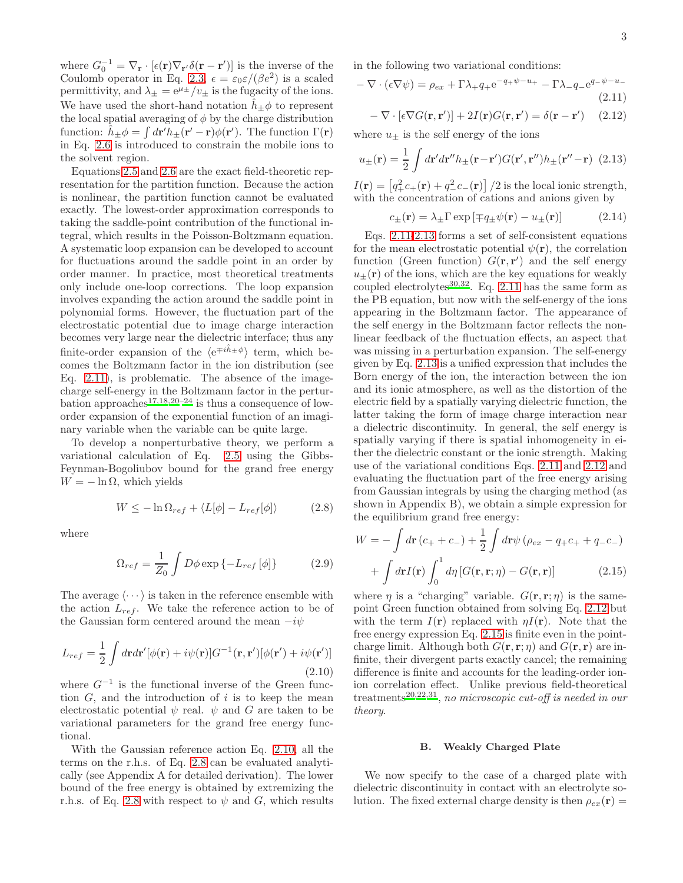where  $G_0^{-1} = \nabla_{\mathbf{r}} \cdot [\epsilon(\mathbf{r}) \nabla_{\mathbf{r'}} \delta(\mathbf{r} - \mathbf{r'})]$  is the inverse of the Coulomb operator in Eq. [2.3,](#page-1-1)  $\epsilon = \varepsilon_0 \varepsilon / (\beta e^2)$  is a scaled permittivity, and  $\lambda_{\pm} = e^{\mu_{\pm}}/v_{\pm}$  is the fugacity of the ions. We have used the short-hand notation  $h_{\pm}\phi$  to represent the local spatial averaging of  $\phi$  by the charge distribution function:  $\hat{h}_{\pm}\phi = \int d\mathbf{r}' h_{\pm}(\mathbf{r}' - \mathbf{r})\phi(\mathbf{r}')$ . The function  $\Gamma(\mathbf{r})$ in Eq. [2.6](#page-1-2) is introduced to constrain the mobile ions to the solvent region.

Equations [2.5](#page-1-3) and [2.6](#page-1-2) are the exact field-theoretic representation for the partition function. Because the action is nonlinear, the partition function cannot be evaluated exactly. The lowest-order approximation corresponds to taking the saddle-point contribution of the functional integral, which results in the Poisson-Boltzmann equation. A systematic loop expansion can be developed to account for fluctuations around the saddle point in an order by order manner. In practice, most theoretical treatments only include one-loop corrections. The loop expansion involves expanding the action around the saddle point in polynomial forms. However, the fluctuation part of the electrostatic potential due to image charge interaction becomes very large near the dielectric interface; thus any finite-order expansion of the  $\langle e^{\mp i\hat{h}_\pm \phi} \rangle$  term, which becomes the Boltzmann factor in the ion distribution (see Eq. [2.11\)](#page-2-0), is problematic. The absence of the imagecharge self-energy in the Boltzmann factor in the pertur-bation approaches<sup>[17](#page-8-20)[,18](#page-8-21)[,20](#page-8-12)[–24](#page-8-10)</sup> is thus a consequence of loworder expansion of the exponential function of an imaginary variable when the variable can be quite large.

To develop a nonperturbative theory, we perform a variational calculation of Eq. [2.5](#page-1-3) using the Gibbs-Feynman-Bogoliubov bound for the grand free energy  $W = -\ln \Omega$ , which yields

<span id="page-2-2"></span>
$$
W \le -\ln \Omega_{ref} + \langle L[\phi] - L_{ref}[\phi] \rangle \tag{2.8}
$$

where

$$
\Omega_{ref} = \frac{1}{Z_0} \int D\phi \exp\left\{-L_{ref}[\phi]\right\} \tag{2.9}
$$

The average  $\langle \cdots \rangle$  is taken in the reference ensemble with the action  $L_{ref}$ . We take the reference action to be of the Gaussian form centered around the mean  $-i\psi$ 

<span id="page-2-1"></span>
$$
L_{ref} = \frac{1}{2} \int d\mathbf{r} d\mathbf{r}' [\phi(\mathbf{r}) + i\psi(\mathbf{r})] G^{-1}(\mathbf{r}, \mathbf{r}') [\phi(\mathbf{r}') + i\psi(\mathbf{r}')] \tag{2.10}
$$

where  $G^{-1}$  is the functional inverse of the Green function  $G$ , and the introduction of  $i$  is to keep the mean electrostatic potential  $\psi$  real.  $\psi$  and G are taken to be variational parameters for the grand free energy functional.

With the Gaussian reference action Eq. [2.10,](#page-2-1) all the terms on the r.h.s. of Eq. [2.8](#page-2-2) can be evaluated analytically (see Appendix A for detailed derivation). The lower bound of the free energy is obtained by extremizing the r.h.s. of Eq. [2.8](#page-2-2) with respect to  $\psi$  and G, which results

in the following two variational conditions:

<span id="page-2-0"></span>
$$
-\nabla \cdot (\epsilon \nabla \psi) = \rho_{ex} + \Gamma \lambda_+ q_+ e^{-q_+ \psi - u_+} - \Gamma \lambda_- q_- e^{q_- \psi - u_-}
$$
\n(2.11)

<span id="page-2-4"></span>
$$
-\nabla \cdot [\epsilon \nabla G(\mathbf{r}, \mathbf{r}')] + 2I(\mathbf{r})G(\mathbf{r}, \mathbf{r}') = \delta(\mathbf{r} - \mathbf{r}')
$$
 (2.12)

where  $u_{\pm}$  is the self energy of the ions

<span id="page-2-3"></span>
$$
u_{\pm}(\mathbf{r}) = \frac{1}{2} \int d\mathbf{r}' d\mathbf{r}'' h_{\pm}(\mathbf{r} - \mathbf{r}') G(\mathbf{r}', \mathbf{r}'') h_{\pm}(\mathbf{r}'' - \mathbf{r}) \tag{2.13}
$$

 $I(\mathbf{r}) = [q_+^2 c_+(\mathbf{r}) + q_-^2 c_-(\mathbf{r})] / 2$  is the local ionic strength, with the concentration of cations and anions given by

<span id="page-2-6"></span>
$$
c_{\pm}(\mathbf{r}) = \lambda_{\pm} \Gamma \exp\left[\mp q_{\pm} \psi(\mathbf{r}) - u_{\pm}(\mathbf{r})\right] \tag{2.14}
$$

Eqs. [2.11-](#page-2-0)[2.13](#page-2-3) forms a set of self-consistent equations for the mean electrostatic potential  $\psi(\mathbf{r})$ , the correlation function (Green function)  $G(\mathbf{r}, \mathbf{r}')$  and the self energy  $u_{+}(\mathbf{r})$  of the ions, which are the key equations for weakly coupled electrolytes<sup>[30](#page-8-19)[,32](#page-8-22)</sup>. Eq. [2.11](#page-2-0) has the same form as the PB equation, but now with the self-energy of the ions appearing in the Boltzmann factor. The appearance of the self energy in the Boltzmann factor reflects the nonlinear feedback of the fluctuation effects, an aspect that was missing in a perturbation expansion. The self-energy given by Eq. [2.13](#page-2-3) is a unified expression that includes the Born energy of the ion, the interaction between the ion and its ionic atmosphere, as well as the distortion of the electric field by a spatially varying dielectric function, the latter taking the form of image charge interaction near a dielectric discontinuity. In general, the self energy is spatially varying if there is spatial inhomogeneity in either the dielectric constant or the ionic strength. Making use of the variational conditions Eqs. [2.11](#page-2-0) and [2.12](#page-2-4) and evaluating the fluctuation part of the free energy arising from Gaussian integrals by using the charging method (as shown in Appendix B), we obtain a simple expression for the equilibrium grand free energy:

<span id="page-2-5"></span>
$$
W = -\int d\mathbf{r} (c_{+} + c_{-}) + \frac{1}{2} \int d\mathbf{r} \psi (\rho_{ex} - q_{+} c_{+} + q_{-} c_{-})
$$

$$
+ \int d\mathbf{r} I(\mathbf{r}) \int_{0}^{1} d\eta \left[ G(\mathbf{r}, \mathbf{r}; \eta) - G(\mathbf{r}, \mathbf{r}) \right]
$$
(2.15)

where  $\eta$  is a "charging" variable.  $G(\mathbf{r}, \mathbf{r}; \eta)$  is the samepoint Green function obtained from solving Eq. [2.12](#page-2-4) but with the term  $I(\mathbf{r})$  replaced with  $\eta I(\mathbf{r})$ . Note that the free energy expression Eq. [2.15](#page-2-5) is finite even in the pointcharge limit. Although both  $G(\mathbf{r}, \mathbf{r}; \eta)$  and  $G(\mathbf{r}, \mathbf{r})$  are infinite, their divergent parts exactly cancel; the remaining difference is finite and accounts for the leading-order ionion correlation effect. Unlike previous field-theoretical  $\text{treatments}^{20,22,31},\text{no microscopic cut-off is needed in our}$  $\text{treatments}^{20,22,31},\text{no microscopic cut-off is needed in our}$  $\text{treatments}^{20,22,31},\text{no microscopic cut-off is needed in our}$  $\text{treatments}^{20,22,31},\text{no microscopic cut-off is needed in our}$  $\text{treatments}^{20,22,31},\text{no microscopic cut-off is needed in our}$  $\text{treatments}^{20,22,31},\text{no microscopic cut-off is needed in our}$ theory.

### B. Weakly Charged Plate

We now specify to the case of a charged plate with dielectric discontinuity in contact with an electrolyte solution. The fixed external charge density is then  $\rho_{ex}(\mathbf{r}) =$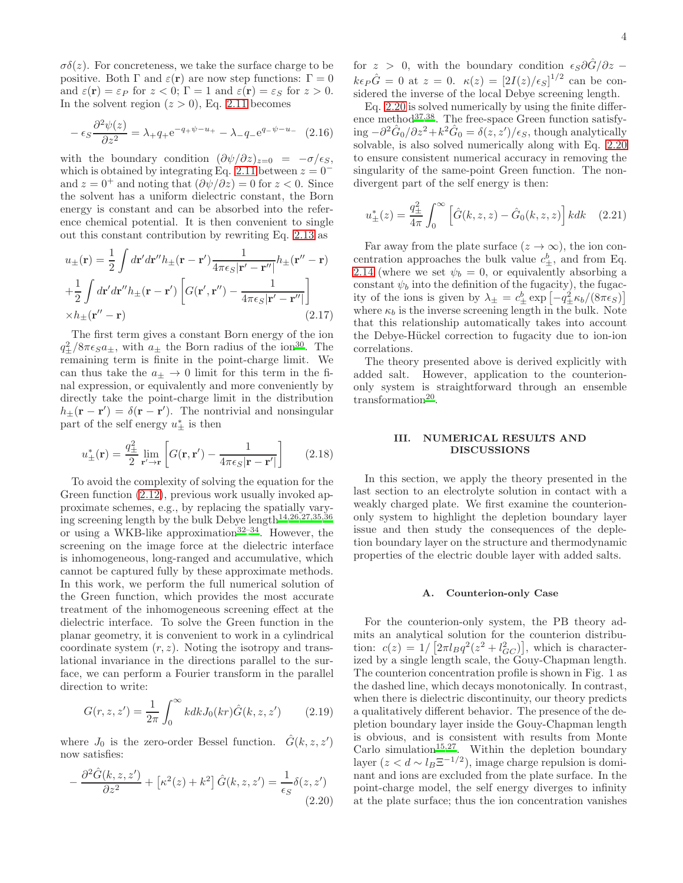$\sigma\delta(z)$ . For concreteness, we take the surface charge to be positive. Both  $\Gamma$  and  $\varepsilon(\mathbf{r})$  are now step functions:  $\Gamma = 0$ and  $\varepsilon(\mathbf{r}) = \varepsilon_P$  for  $z < 0$ ;  $\Gamma = 1$  and  $\varepsilon(\mathbf{r}) = \varepsilon_S$  for  $z > 0$ . In the solvent region  $(z > 0)$ , Eq. [2.11](#page-2-0) becomes

$$
-\epsilon_S \frac{\partial^2 \psi(z)}{\partial z^2} = \lambda_+ q_+ e^{-q_+ \psi - u_+} - \lambda_- q_- e^{q_- \psi - u_-} \quad (2.16)
$$

with the boundary condition  $(\partial \psi / \partial z)_{z=0} = -\sigma / \epsilon_S$ , which is obtained by integrating Eq. [2.11](#page-2-0) between  $z = 0^$ and  $z = 0^+$  and noting that  $(\partial \psi / \partial z) = 0$  for  $z < 0$ . Since the solvent has a uniform dielectric constant, the Born energy is constant and can be absorbed into the reference chemical potential. It is then convenient to single out this constant contribution by rewriting Eq. [2.13](#page-2-3) as

$$
u_{\pm}(\mathbf{r}) = \frac{1}{2} \int d\mathbf{r}' d\mathbf{r}'' h_{\pm}(\mathbf{r} - \mathbf{r}') \frac{1}{4\pi\epsilon_S |\mathbf{r}' - \mathbf{r}''|} h_{\pm}(\mathbf{r}'' - \mathbf{r})
$$
  
+ 
$$
\frac{1}{2} \int d\mathbf{r}' d\mathbf{r}'' h_{\pm}(\mathbf{r} - \mathbf{r}') \left[ G(\mathbf{r}', \mathbf{r}'') - \frac{1}{4\pi\epsilon_S |\mathbf{r}' - \mathbf{r}''|} \right]
$$
  
 
$$
\times h_{\pm}(\mathbf{r}'' - \mathbf{r})
$$
 (2.17)

The first term gives a constant Born energy of the ion  $q_{\pm}^2/8\pi\epsilon_S a_{\pm}$ , with  $a_{\pm}$  the Born radius of the ion<sup>[30](#page-8-19)</sup>. The remaining term is finite in the point-charge limit. We can thus take the  $a_{\pm} \rightarrow 0$  limit for this term in the final expression, or equivalently and more conveniently by directly take the point-charge limit in the distribution  $h_{\pm}(\mathbf{r}-\mathbf{r}') = \delta(\mathbf{r}-\mathbf{r}')$ . The nontrivial and nonsingular part of the self energy  $u_{\pm}^*$  is then

<span id="page-3-1"></span>
$$
u_{\pm}^*(\mathbf{r}) = \frac{q_{\pm}^2}{2} \lim_{\mathbf{r'} \to \mathbf{r}} \left[ G(\mathbf{r}, \mathbf{r'}) - \frac{1}{4\pi\epsilon_S |\mathbf{r} - \mathbf{r'}|} \right] \tag{2.18}
$$

To avoid the complexity of solving the equation for the Green function [\(2.12\)](#page-2-4), previous work usually invoked approximate schemes, e.g., by replacing the spatially varying screening length by the bulk Debye length $14,26,27,35,36$  $14,26,27,35,36$  $14,26,27,35,36$  $14,26,27,35,36$  $14,26,27,35,36$ or using a WKB-like approximation<sup>[32](#page-8-22)[–34](#page-8-27)</sup>. However, the screening on the image force at the dielectric interface is inhomogeneous, long-ranged and accumulative, which cannot be captured fully by these approximate methods. In this work, we perform the full numerical solution of the Green function, which provides the most accurate treatment of the inhomogeneous screening effect at the dielectric interface. To solve the Green function in the planar geometry, it is convenient to work in a cylindrical coordinate system  $(r, z)$ . Noting the isotropy and translational invariance in the directions parallel to the surface, we can perform a Fourier transform in the parallel direction to write:

$$
G(r, z, z') = \frac{1}{2\pi} \int_0^\infty k \, dk \, J_0(kr) \hat{G}(k, z, z') \tag{2.19}
$$

where  $J_0$  is the zero-order Bessel function.  $\hat{G}(k, z, z')$ now satisfies:

<span id="page-3-0"></span>
$$
-\frac{\partial^2 \hat{G}(k, z, z')}{\partial z^2} + \left[\kappa^2(z) + k^2\right] \hat{G}(k, z, z') = \frac{1}{\epsilon_S} \delta(z, z')
$$
\n(2.20)

for  $z > 0$ , with the boundary condition  $\epsilon_S \partial \hat{G}/\partial z$  –  $k\epsilon_P\hat{G} = 0$  at  $z = 0$ .  $\kappa(z) = \left[2I(z)/\epsilon_S\right]^{1/2}$  can be considered the inverse of the local Debye screening length.

Eq. [2.20](#page-3-0) is solved numerically by using the finite difference method $37,38$  $37,38$ . The free-space Green function satisfy- $\lim_{\varepsilon} -\partial^2 \hat{G}_0 / \partial z^2 + k^2 \hat{G}_0 = \delta(z,z') / \epsilon_S$ , though analytically solvable, is also solved numerically along with Eq. [2.20](#page-3-0) to ensure consistent numerical accuracy in removing the singularity of the same-point Green function. The nondivergent part of the self energy is then:

$$
u_{\pm}^{*}(z) = \frac{q_{\pm}^{2}}{4\pi} \int_{0}^{\infty} \left[ \hat{G}(k, z, z) - \hat{G}_{0}(k, z, z) \right] k dk \quad (2.21)
$$

Far away from the plate surface  $(z \to \infty)$ , the ion concentration approaches the bulk value  $c_{\pm}^{b}$ , and from Eq. [2.14](#page-2-6) (where we set  $\psi_b = 0$ , or equivalently absorbing a constant  $\psi_b$  into the definition of the fugacity), the fugacity of the ions is given by  $\lambda_{\pm} = c_{\pm}^{b} \exp \left[ -q_{\pm}^{2} \kappa_{b} / (8 \pi \epsilon_{S}) \right]$ where  $\kappa_b$  is the inverse screening length in the bulk. Note that this relationship automatically takes into account the Debye-H¨uckel correction to fugacity due to ion-ion correlations.

The theory presented above is derived explicitly with added salt. However, application to the counteriononly system is straightforward through an ensemble transformation<sup>[20](#page-8-12)</sup>.

### III. NUMERICAL RESULTS AND DISCUSSIONS

In this section, we apply the theory presented in the last section to an electrolyte solution in contact with a weakly charged plate. We first examine the counteriononly system to highlight the depletion boundary layer issue and then study the consequences of the depletion boundary layer on the structure and thermodynamic properties of the electric double layer with added salts.

### A. Counterion-only Case

For the counterion-only system, the PB theory admits an analytical solution for the counterion distribution:  $c(z) = 1/ [2\pi l_B q^2 (z^2 + l_{GC}^2)],$  which is characterized by a single length scale, the Gouy-Chapman length. The counterion concentration profile is shown in Fig. 1 as the dashed line, which decays monotonically. In contrast, when there is dielectric discontinuity, our theory predicts a qualitatively different behavior. The presence of the depletion boundary layer inside the Gouy-Chapman length is obvious, and is consistent with results from Monte Carlo simulation<sup>[15](#page-8-9)[,27](#page-8-16)</sup>. Within the depletion boundary layer  $(z < d \sim l_B \Xi^{-1/2})$ , image charge repulsion is dominant and ions are excluded from the plate surface. In the point-charge model, the self energy diverges to infinity at the plate surface; thus the ion concentration vanishes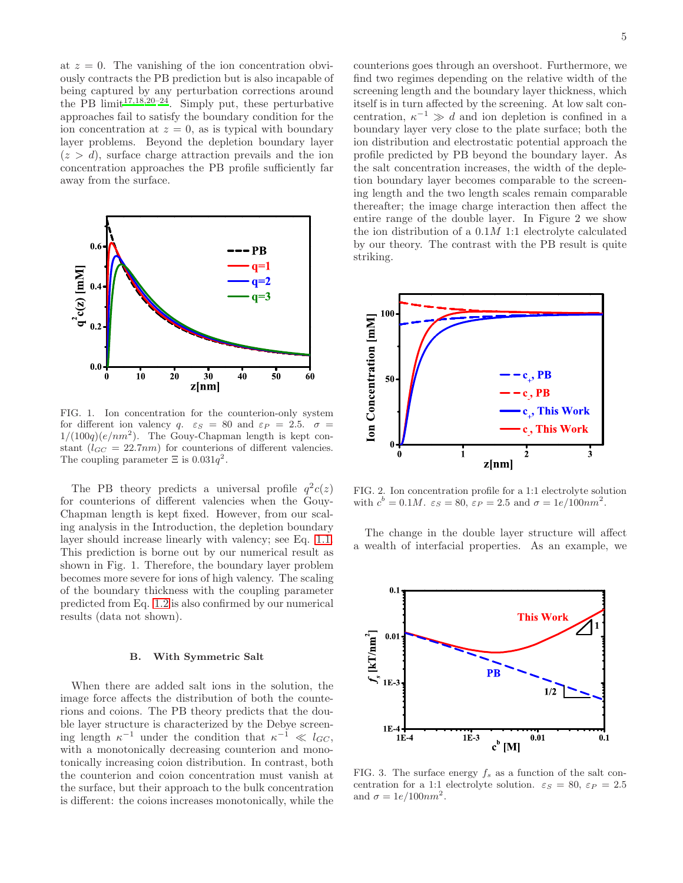at  $z = 0$ . The vanishing of the ion concentration obviously contracts the PB prediction but is also incapable of being captured by any perturbation corrections around the PB  $\overline{\text{limit}}^{17,18,20-24}$  $\overline{\text{limit}}^{17,18,20-24}$  $\overline{\text{limit}}^{17,18,20-24}$  $\overline{\text{limit}}^{17,18,20-24}$  $\overline{\text{limit}}^{17,18,20-24}$ . Simply put, these perturbative approaches fail to satisfy the boundary condition for the ion concentration at  $z = 0$ , as is typical with boundary layer problems. Beyond the depletion boundary layer  $(z > d)$ , surface charge attraction prevails and the ion concentration approaches the PB profile sufficiently far away from the surface.



FIG. 1. Ion concentration for the counterion-only system for different ion valency q.  $\varepsilon_S = 80$  and  $\varepsilon_P = 2.5$ .  $\sigma =$  $1/(100q)(e/nm^2)$ . The Gouy-Chapman length is kept constant  $(l_{GC} = 22.7nm)$  for counterions of different valencies. The coupling parameter  $\Xi$  is  $0.031q^2$ .

The PB theory predicts a universal profile  $q^2c(z)$ for counterions of different valencies when the Gouy-Chapman length is kept fixed. However, from our scaling analysis in the Introduction, the depletion boundary layer should increase linearly with valency; see Eq. [1.1.](#page-1-4) This prediction is borne out by our numerical result as shown in Fig. 1. Therefore, the boundary layer problem becomes more severe for ions of high valency. The scaling of the boundary thickness with the coupling parameter predicted from Eq. [1.2](#page-1-5) is also confirmed by our numerical results (data not shown).

### B. With Symmetric Salt

When there are added salt ions in the solution, the image force affects the distribution of both the counterions and coions. The PB theory predicts that the double layer structure is characterized by the Debye screening length  $\kappa^{-1}$  under the condition that  $\kappa^{-1} \ll l_{GC}$ , with a monotonically decreasing counterion and monotonically increasing coion distribution. In contrast, both the counterion and coion concentration must vanish at the surface, but their approach to the bulk concentration is different: the coions increases monotonically, while the

counterions goes through an overshoot. Furthermore, we find two regimes depending on the relative width of the screening length and the boundary layer thickness, which itself is in turn affected by the screening. At low salt concentration,  $\kappa^{-1} \gg d$  and ion depletion is confined in a boundary layer very close to the plate surface; both the ion distribution and electrostatic potential approach the profile predicted by PB beyond the boundary layer. As the salt concentration increases, the width of the depletion boundary layer becomes comparable to the screening length and the two length scales remain comparable thereafter; the image charge interaction then affect the entire range of the double layer. In Figure 2 we show the ion distribution of a  $0.1M$  1:1 electrolyte calculated by our theory. The contrast with the PB result is quite striking.



FIG. 2. Ion concentration profile for a 1:1 electrolyte solution with  $c^b = 0.1M$ .  $\varepsilon_S = 80$ ,  $\varepsilon_P = 2.5$  and  $\sigma = 1e/100nm^2$ .

The change in the double layer structure will affect a wealth of interfacial properties. As an example, we



FIG. 3. The surface energy  $f_s$  as a function of the salt concentration for a 1:1 electrolyte solution.  $\varepsilon_S = 80, \, \varepsilon_P = 2.5$ and  $\sigma = 1e/100nm^2$ .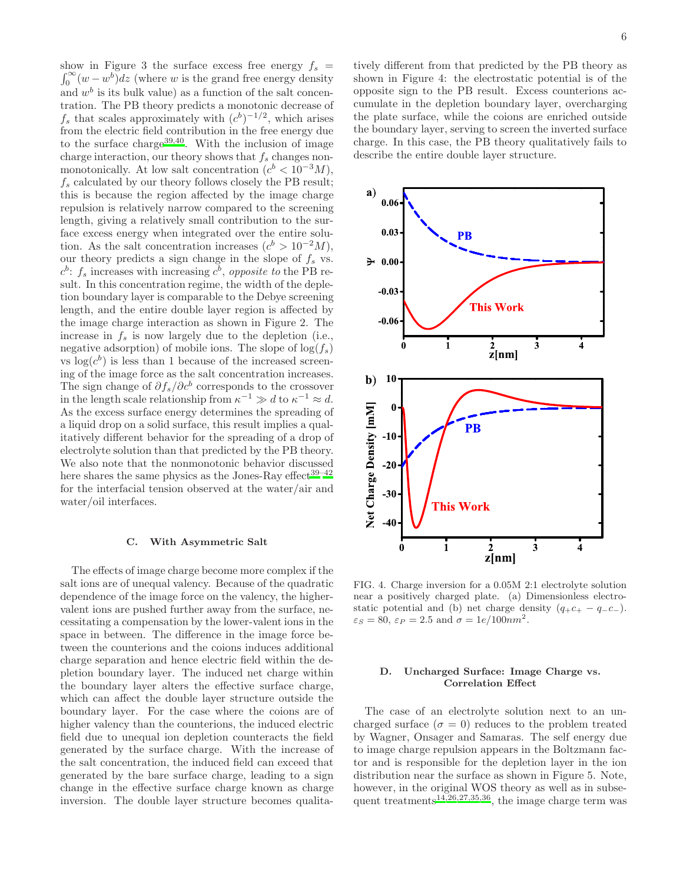show in Figure 3 the surface excess free energy show in Figure 3 the surface excess free energy  $f_s = \int_0^\infty (w - w^b) dz$  (where w is the grand free energy density  $\int_0^\infty (w - w^b) dz$  (where w is the grand free energy density and  $w<sup>b</sup>$  is its bulk value) as a function of the salt concentration. The PB theory predicts a monotonic decrease of  $f_s$  that scales approximately with  $(c^b)^{-1/2}$ , which arises from the electric field contribution in the free energy due to the surface charge  $39,40$  $39,40$ . With the inclusion of image charge interaction, our theory shows that  $f_s$  changes nonmonotonically. At low salt concentration  $(c^b < 10^{-3}M)$ ,  $f_s$  calculated by our theory follows closely the PB result; this is because the region affected by the image charge repulsion is relatively narrow compared to the screening length, giving a relatively small contribution to the surface excess energy when integrated over the entire solution. As the salt concentration increases  $(c<sup>b</sup> > 10<sup>-2</sup>M)$ , our theory predicts a sign change in the slope of  $f_s$  vs.  $c^b$ :  $f_s$  increases with increasing  $c^b$ , *opposite to* the PB result. In this concentration regime, the width of the depletion boundary layer is comparable to the Debye screening length, and the entire double layer region is affected by the image charge interaction as shown in Figure 2. The increase in  $f_s$  is now largely due to the depletion (i.e., negative adsorption) of mobile ions. The slope of  $log(f_s)$ vs  $log(c^b)$  is less than 1 because of the increased screening of the image force as the salt concentration increases. The sign change of  $\partial f_s / \partial c^b$  corresponds to the crossover in the length scale relationship from  $\kappa^{-1} \gg d$  to  $\kappa^{-1} \approx d$ . As the excess surface energy determines the spreading of a liquid drop on a solid surface, this result implies a qualitatively different behavior for the spreading of a drop of electrolyte solution than that predicted by the PB theory. We also note that the nonmonotonic behavior discussed here shares the same physics as the Jones-Ray effect  $39-42$  $39-42$ for the interfacial tension observed at the water/air and water/oil interfaces.

# C. With Asymmetric Salt

The effects of image charge become more complex if the salt ions are of unequal valency. Because of the quadratic dependence of the image force on the valency, the highervalent ions are pushed further away from the surface, necessitating a compensation by the lower-valent ions in the space in between. The difference in the image force between the counterions and the coions induces additional charge separation and hence electric field within the depletion boundary layer. The induced net charge within the boundary layer alters the effective surface charge, which can affect the double layer structure outside the boundary layer. For the case where the coions are of higher valency than the counterions, the induced electric field due to unequal ion depletion counteracts the field generated by the surface charge. With the increase of the salt concentration, the induced field can exceed that generated by the bare surface charge, leading to a sign change in the effective surface charge known as charge inversion. The double layer structure becomes qualita-

tively different from that predicted by the PB theory as shown in Figure 4: the electrostatic potential is of the opposite sign to the PB result. Excess counterions accumulate in the depletion boundary layer, overcharging the plate surface, while the coions are enriched outside the boundary layer, serving to screen the inverted surface charge. In this case, the PB theory qualitatively fails to describe the entire double layer structure.



FIG. 4. Charge inversion for a 0.05M 2:1 electrolyte solution near a positively charged plate. (a) Dimensionless electrostatic potential and (b) net charge density  $(q_{+}c_{+} - q_{-}c_{-})$ .  $\varepsilon_S = 80$ ,  $\varepsilon_P = 2.5$  and  $\sigma = 1e/100nm^2$ .

# D. Uncharged Surface: Image Charge vs. Correlation Effect

The case of an electrolyte solution next to an uncharged surface  $(\sigma = 0)$  reduces to the problem treated by Wagner, Onsager and Samaras. The self energy due to image charge repulsion appears in the Boltzmann factor and is responsible for the depletion layer in the ion distribution near the surface as shown in Figure 5. Note, however, in the original WOS theory as well as in subse-quent treatments<sup>[14](#page-8-8)[,26](#page-8-15)[,27](#page-8-16)[,35](#page-8-25)[,36](#page-8-26)</sup>, the image charge term was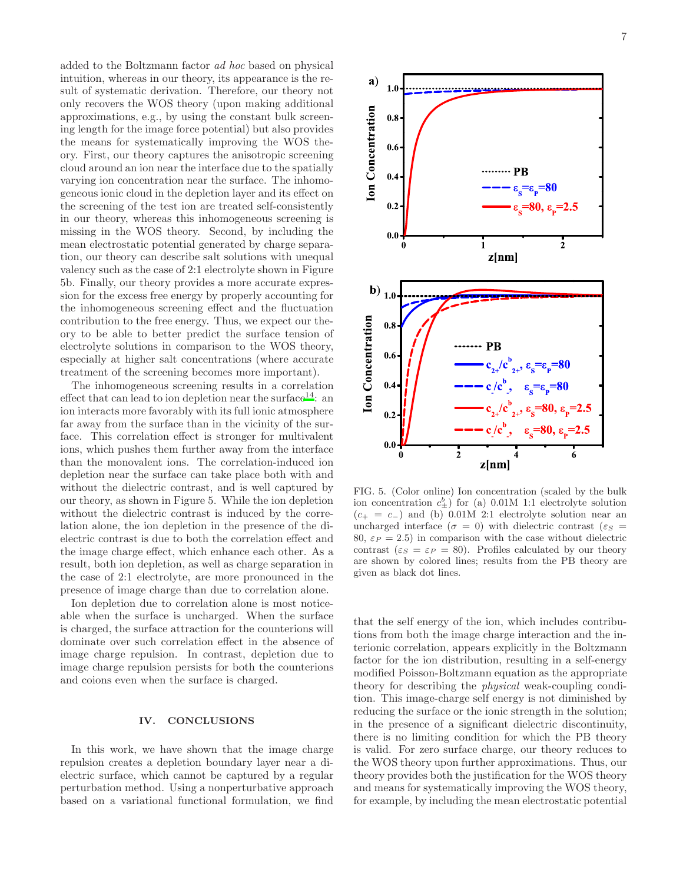added to the Boltzmann factor ad hoc based on physical intuition, whereas in our theory, its appearance is the result of systematic derivation. Therefore, our theory not only recovers the WOS theory (upon making additional approximations, e.g., by using the constant bulk screening length for the image force potential) but also provides the means for systematically improving the WOS theory. First, our theory captures the anisotropic screening cloud around an ion near the interface due to the spatially varying ion concentration near the surface. The inhomogeneous ionic cloud in the depletion layer and its effect on the screening of the test ion are treated self-consistently in our theory, whereas this inhomogeneous screening is missing in the WOS theory. Second, by including the mean electrostatic potential generated by charge separation, our theory can describe salt solutions with unequal valency such as the case of 2:1 electrolyte shown in Figure 5b. Finally, our theory provides a more accurate expression for the excess free energy by properly accounting for the inhomogeneous screening effect and the fluctuation contribution to the free energy. Thus, we expect our theory to be able to better predict the surface tension of electrolyte solutions in comparison to the WOS theory, especially at higher salt concentrations (where accurate treatment of the screening becomes more important).

The inhomogeneous screening results in a correlation effect that can lead to ion depletion near the surface<sup>[14](#page-8-8)</sup>: an ion interacts more favorably with its full ionic atmosphere far away from the surface than in the vicinity of the surface. This correlation effect is stronger for multivalent ions, which pushes them further away from the interface than the monovalent ions. The correlation-induced ion depletion near the surface can take place both with and without the dielectric contrast, and is well captured by our theory, as shown in Figure 5. While the ion depletion without the dielectric contrast is induced by the correlation alone, the ion depletion in the presence of the dielectric contrast is due to both the correlation effect and the image charge effect, which enhance each other. As a result, both ion depletion, as well as charge separation in the case of 2:1 electrolyte, are more pronounced in the presence of image charge than due to correlation alone.

Ion depletion due to correlation alone is most noticeable when the surface is uncharged. When the surface is charged, the surface attraction for the counterions will dominate over such correlation effect in the absence of image charge repulsion. In contrast, depletion due to image charge repulsion persists for both the counterions and coions even when the surface is charged.

### IV. CONCLUSIONS

In this work, we have shown that the image charge repulsion creates a depletion boundary layer near a dielectric surface, which cannot be captured by a regular perturbation method. Using a nonperturbative approach based on a variational functional formulation, we find



FIG. 5. (Color online) Ion concentration (scaled by the bulk ion concentration  $c_{\pm}^{b}$  for (a) 0.01M 1:1 electrolyte solution  $(c_{+} = c_{-})$  and (b) 0.01M 2:1 electrolyte solution near an uncharged interface  $(\sigma = 0)$  with dielectric contrast  $(\varepsilon_S =$ 80,  $\varepsilon_P = 2.5$ ) in comparison with the case without dielectric contrast ( $\varepsilon_S = \varepsilon_P = 80$ ). Profiles calculated by our theory are shown by colored lines; results from the PB theory are given as black dot lines.

that the self energy of the ion, which includes contributions from both the image charge interaction and the interionic correlation, appears explicitly in the Boltzmann factor for the ion distribution, resulting in a self-energy modified Poisson-Boltzmann equation as the appropriate theory for describing the physical weak-coupling condition. This image-charge self energy is not diminished by reducing the surface or the ionic strength in the solution; in the presence of a significant dielectric discontinuity, there is no limiting condition for which the PB theory is valid. For zero surface charge, our theory reduces to the WOS theory upon further approximations. Thus, our theory provides both the justification for the WOS theory and means for systematically improving the WOS theory, for example, by including the mean electrostatic potential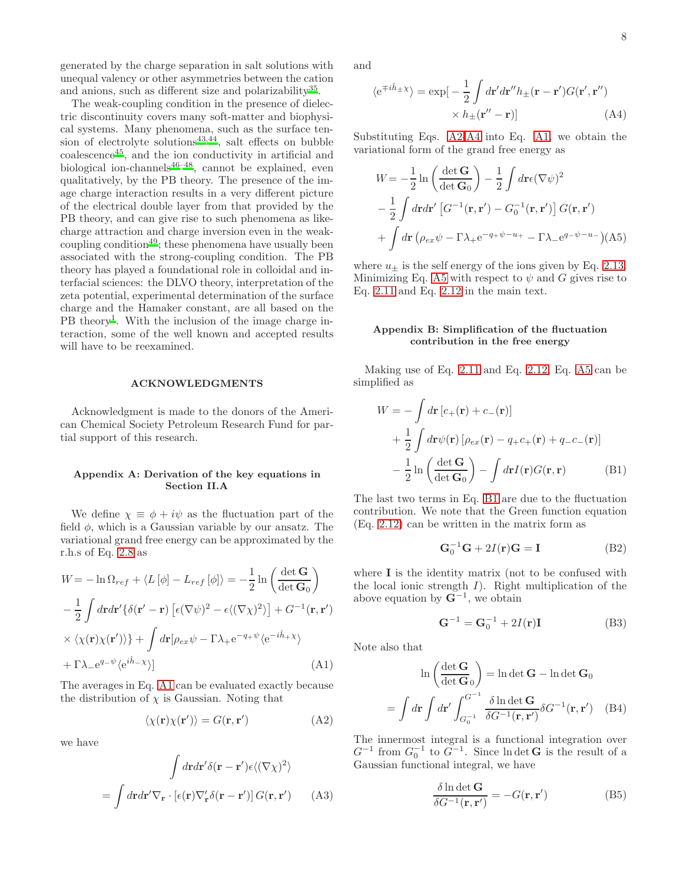generated by the charge separation in salt solutions with unequal valency or other asymmetries between the cation and anions, such as different size and polarizability<sup>[35](#page-8-25)</sup>.

The weak-coupling condition in the presence of dielectric discontinuity covers many soft-matter and biophysical systems. Many phenomena, such as the surface ten-sion of electrolyte solutions<sup>[43](#page-9-3)[,44](#page-9-4)</sup>, salt effects on bubble coalescence[45](#page-9-5), and the ion conductivity in artificial and biological ion-channels<sup>[46](#page-9-6)[–48](#page-9-7)</sup>, cannot be explained, even qualitatively, by the PB theory. The presence of the image charge interaction results in a very different picture of the electrical double layer from that provided by the PB theory, and can give rise to such phenomena as likecharge attraction and charge inversion even in the weakcoupling condition[49](#page-9-8); these phenomena have usually been associated with the strong-coupling condition. The PB theory has played a foundational role in colloidal and interfacial sciences: the DLVO theory, interpretation of the zeta potential, experimental determination of the surface charge and the Hamaker constant, are all based on the PB theor[y](#page-8-1)<sup>1</sup>. With the inclusion of the image charge interaction, some of the well known and accepted results will have to be reexamined.

# ACKNOWLEDGMENTS

Acknowledgment is made to the donors of the American Chemical Society Petroleum Research Fund for partial support of this research.

# Appendix A: Derivation of the key equations in Section II.A

We define  $\chi \equiv \phi + i\psi$  as the fluctuation part of the field  $\phi$ , which is a Gaussian variable by our ansatz. The variational grand free energy can be approximated by the r.h.s of Eq. [2.8](#page-2-2) as

<span id="page-7-0"></span>
$$
W = -\ln \Omega_{ref} + \langle L[\phi] - L_{ref}[\phi] \rangle = -\frac{1}{2} \ln \left( \frac{\det \mathbf{G}}{\det \mathbf{G}_0} \right)
$$
  

$$
-\frac{1}{2} \int d\mathbf{r} d\mathbf{r}' \{ \delta(\mathbf{r}' - \mathbf{r}) \left[ \epsilon (\nabla \psi)^2 - \epsilon (\nabla \chi)^2 \rangle \right] + G^{-1}(\mathbf{r}, \mathbf{r}')
$$
  

$$
\times \langle \chi(\mathbf{r}) \chi(\mathbf{r}') \rangle \} + \int d\mathbf{r} [\rho_{ex} \psi - \Gamma \lambda_+ e^{-q_+ \psi} \langle e^{-i\hat{h}_+ \chi} \rangle
$$
  

$$
+ \Gamma \lambda_- e^{q_- \psi} \langle e^{i\hat{h}_- \chi} \rangle ] \tag{A1}
$$

The averages in Eq. [A1](#page-7-0) can be evaluated exactly because the distribution of  $\chi$  is Gaussian. Noting that

<span id="page-7-1"></span>
$$
\langle \chi(\mathbf{r}) \chi(\mathbf{r}') \rangle = G(\mathbf{r}, \mathbf{r}') \tag{A2}
$$

we have

$$
\int d\mathbf{r} d\mathbf{r}' \delta(\mathbf{r} - \mathbf{r}') \epsilon \langle (\nabla \chi)^2 \rangle
$$

$$
= \int d\mathbf{r} d\mathbf{r}' \nabla_{\mathbf{r}} \cdot [\epsilon(\mathbf{r}) \nabla_{\mathbf{r}}' \delta(\mathbf{r} - \mathbf{r}')] G(\mathbf{r}, \mathbf{r}') \qquad (A3)
$$

and

<span id="page-7-2"></span>
$$
\langle e^{\mp i\hat{h}_{\pm}x} \rangle = \exp[-\frac{1}{2} \int d\mathbf{r}' d\mathbf{r}'' h_{\pm}(\mathbf{r} - \mathbf{r}') G(\mathbf{r}', \mathbf{r}'') \times h_{\pm}(\mathbf{r}'' - \mathbf{r})]
$$
(A4)

Substituting Eqs. [A2-](#page-7-1)[A4](#page-7-2) into Eq. [A1,](#page-7-0) we obtain the variational form of the grand free energy as

<span id="page-7-3"></span>
$$
W = -\frac{1}{2} \ln \left( \frac{\det \mathbf{G}}{\det \mathbf{G}_0} \right) - \frac{1}{2} \int d\mathbf{r} \epsilon (\nabla \psi)^2
$$

$$
- \frac{1}{2} \int d\mathbf{r} d\mathbf{r}' \left[ G^{-1}(\mathbf{r}, \mathbf{r}') - G_0^{-1}(\mathbf{r}, \mathbf{r}') \right] G(\mathbf{r}, \mathbf{r}')
$$

$$
+ \int d\mathbf{r} \left( \rho_{ex} \psi - \Gamma \lambda_+ e^{-q_+ \psi - u_+} - \Gamma \lambda_- e^{q_- \psi - u_-} \right) (A5)
$$

where  $u_{\pm}$  is the self energy of the ions given by Eq. [2.13.](#page-2-3) Minimizing Eq. [A5](#page-7-3) with respect to  $\psi$  and G gives rise to Eq. [2.11](#page-2-0) and Eq. [2.12](#page-2-4) in the main text.

# Appendix B: Simplification of the fluctuation contribution in the free energy

Making use of Eq. [2.11](#page-2-0) and Eq. [2.12,](#page-2-4) Eq. [A5](#page-7-3) can be simplified as

<span id="page-7-4"></span>
$$
W = -\int d\mathbf{r} [c_{+}(\mathbf{r}) + c_{-}(\mathbf{r})]
$$
  
+  $\frac{1}{2} \int d\mathbf{r} \psi(\mathbf{r}) [\rho_{ex}(\mathbf{r}) - q_{+}c_{+}(\mathbf{r}) + q_{-}c_{-}(\mathbf{r})]$   
-  $\frac{1}{2}$ ln  $\left(\frac{\det \mathbf{G}}{\det \mathbf{G}_{0}}\right) - \int d\mathbf{r} I(\mathbf{r}) G(\mathbf{r}, \mathbf{r})$  (B1)

The last two terms in Eq. [B1](#page-7-4) are due to the fluctuation contribution. We note that the Green function equation (Eq. [2.12\)](#page-2-4) can be written in the matrix form as

$$
\mathbf{G}_0^{-1}\mathbf{G} + 2I(\mathbf{r})\mathbf{G} = \mathbf{I}
$$
 (B2)

where **I** is the identity matrix (not to be confused with the local ionic strength  $I$ ). Right multiplication of the above equation by  $\mathbf{G}^{-1}$ , we obtain

<span id="page-7-5"></span>
$$
\mathbf{G}^{-1} = \mathbf{G}_0^{-1} + 2I(\mathbf{r})\mathbf{I}
$$
 (B3)

Note also that

$$
\ln\left(\frac{\det\mathbf{G}}{\det\mathbf{G}}_{0}\right) = \ln\det\mathbf{G} - \ln\det\mathbf{G}_{0}
$$

$$
= \int d\mathbf{r} \int d\mathbf{r}' \int_{G_{0}^{-1}}^{G^{-1}} \frac{\delta\ln\det\mathbf{G}}{\delta G^{-1}(\mathbf{r}, \mathbf{r}')} \delta G^{-1}(\mathbf{r}, \mathbf{r}') \quad (B4)
$$

The innermost integral is a functional integration over  $G^{-1}$  from  $G_0^{-1}$  to  $G^{-1}$ . Since ln det **G** is the result of a Gaussian functional integral, we have

$$
\frac{\delta \ln \det \mathbf{G}}{\delta G^{-1}(\mathbf{r}, \mathbf{r}')} = -G(\mathbf{r}, \mathbf{r}')
$$
 (B5)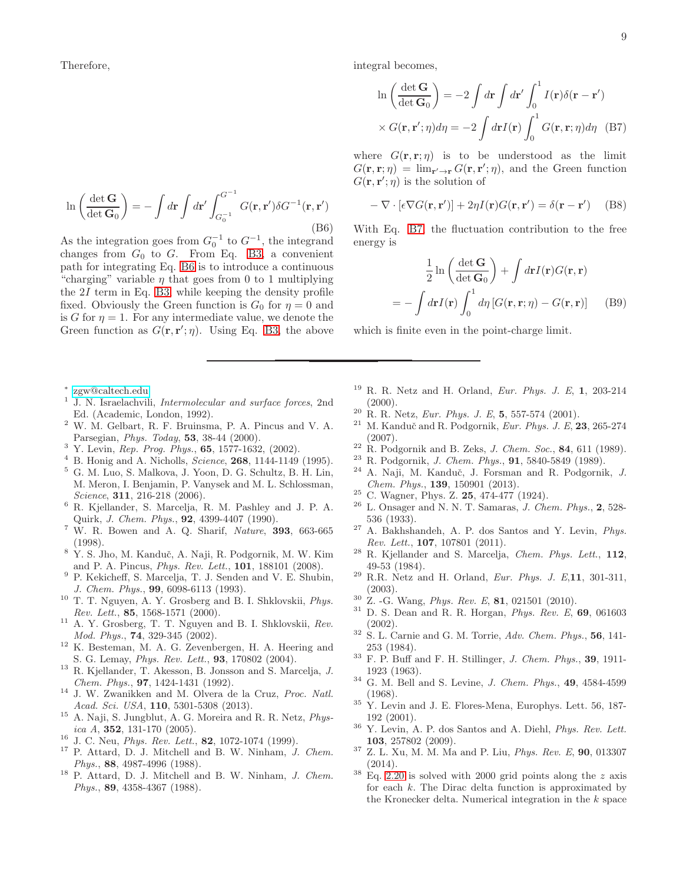Therefore,

<span id="page-8-30"></span>
$$
\ln\left(\frac{\det\mathbf{G}}{\det\mathbf{G}_0}\right) = -\int d\mathbf{r} \int d\mathbf{r}' \int_{G_0^{-1}}^{G^{-1}} G(\mathbf{r}, \mathbf{r}') \delta G^{-1}(\mathbf{r}, \mathbf{r}')
$$
\n(B6)

As the integration goes from  $G_0^{-1}$  to  $G^{-1}$ , the integrand changes from  $G_0$  to  $G$ . From Eq. [B3,](#page-7-5) a convenient path for integrating Eq. [B6](#page-8-30) is to introduce a continuous "charging" variable  $\eta$  that goes from 0 to 1 multiplying the 2I term in Eq. [B3,](#page-7-5) while keeping the density profile fixed. Obviously the Green function is  $G_0$  for  $\eta = 0$  and is G for  $\eta = 1$ . For any intermediate value, we denote the Green function as  $G(\mathbf{r}, \mathbf{r}'; \eta)$ . Using Eq. [B3,](#page-7-5) the above integral becomes,

<span id="page-8-31"></span>
$$
\ln\left(\frac{\det\mathbf{G}}{\det\mathbf{G}_0}\right) = -2\int d\mathbf{r} \int d\mathbf{r}' \int_0^1 I(\mathbf{r})\delta(\mathbf{r} - \mathbf{r}')
$$

$$
\times G(\mathbf{r}, \mathbf{r}'; \eta) d\eta = -2\int d\mathbf{r} I(\mathbf{r}) \int_0^1 G(\mathbf{r}, \mathbf{r}; \eta) d\eta \quad (B7)
$$

where  $G(\mathbf{r}, \mathbf{r}; \eta)$  is to be understood as the limit  $G(\mathbf{r}, \mathbf{r}; \eta) = \lim_{\mathbf{r}' \to \mathbf{r}} G(\mathbf{r}, \mathbf{r}'; \eta)$ , and the Green function  $G(\mathbf{r}, \mathbf{r}'; \eta)$  is the solution of

$$
-\nabla \cdot [\epsilon \nabla G(\mathbf{r}, \mathbf{r}')] + 2\eta I(\mathbf{r}) G(\mathbf{r}, \mathbf{r}') = \delta(\mathbf{r} - \mathbf{r}')
$$
 (B8)

With Eq. [B7,](#page-8-31) the fluctuation contribution to the free energy is

$$
\frac{1}{2}\ln\left(\frac{\det\mathbf{G}}{\det\mathbf{G}_0}\right) + \int d\mathbf{r}I(\mathbf{r})G(\mathbf{r}, \mathbf{r})
$$

$$
= -\int d\mathbf{r}I(\mathbf{r})\int_0^1 d\eta \left[G(\mathbf{r}, \mathbf{r}; \eta) - G(\mathbf{r}, \mathbf{r})\right] \tag{B9}
$$

which is finite even in the point-charge limit.

∗ [zgw@caltech.edu](mailto:zgw@caltech.edu)

- <span id="page-8-1"></span><span id="page-8-0"></span>1 J. N. Israelachvili, Intermolecular and surface forces, 2nd Ed. (Academic, London, 1992).
- <sup>2</sup> W. M. Gelbart, R. F. Bruinsma, P. A. Pincus and V. A. Parsegian, Phys. Today, 53, 38-44 (2000).
- <sup>3</sup> Y. Levin, Rep. Prog. Phys., 65, 1577-1632, (2002).
- $4\,$  B. Honig and A. Nicholls, *Science*, **268**, 1144-1149 (1995).
- <span id="page-8-2"></span><sup>5</sup> G. M. Luo, S. Malkova, J. Yoon, D. G. Schultz, B. H. Lin, M. Meron, I. Benjamin, P. Vanysek and M. L. Schlossman, Science, **311**, 216-218 (2006).
- <span id="page-8-3"></span><sup>6</sup> R. Kjellander, S. Marcelja, R. M. Pashley and J. P. A. Quirk, J. Chem. Phys., 92, 4399-4407 (1990).
- <sup>7</sup> W. R. Bowen and A. Q. Sharif, Nature, 393, 663-665 (1998).
- <span id="page-8-4"></span><sup>8</sup> Y. S. Jho, M. Kanduč, A. Naji, R. Podgornik, M. W. Kim and P. A. Pincus, Phys. Rev. Lett., 101, 188101 (2008).
- <span id="page-8-5"></span><sup>9</sup> P. Kekicheff, S. Marcelja, T. J. Senden and V. E. Shubin, J. Chem. Phys., 99, 6098-6113 (1993).
- <sup>10</sup> T. T. Nguyen, A. Y. Grosberg and B. I. Shklovskii, Phys. Rev. Lett., 85, 1568-1571 (2000).
- <sup>11</sup> A. Y. Grosberg, T. T. Nguyen and B. I. Shklovskii, Rev. Mod. Phys., 74, 329-345 (2002).
- <span id="page-8-6"></span><sup>12</sup> K. Besteman, M. A. G. Zevenbergen, H. A. Heering and S. G. Lemay, Phys. Rev. Lett., 93, 170802 (2004).
- <span id="page-8-7"></span><sup>13</sup> R. Kjellander, T. Akesson, B. Jonsson and S. Marcelja, J. Chem. Phys., 97, 1424-1431 (1992).
- <span id="page-8-8"></span><sup>14</sup> J. W. Zwanikken and M. Olvera de la Cruz, Proc. Natl. Acad. Sci. USA, **110**, 5301-5308 (2013).
- <span id="page-8-9"></span> $^{15}\,$  A. Naji, S. Jungblut, A. G. Moreira and R. R. Netz,  $Phys$ ica  $A$ , **352**, 131-170 (2005).
- <sup>16</sup> J. C. Neu, *Phys. Rev. Lett.*, **82**, 1072-1074 (1999).
- <span id="page-8-20"></span><sup>17</sup> P. Attard, D. J. Mitchell and B. W. Ninham, *J. Chem.* Phys., 88, 4987-4996 (1988).
- <span id="page-8-21"></span><sup>18</sup> P. Attard, D. J. Mitchell and B. W. Ninham, J. Chem. Phys., 89, 4358-4367 (1988).
- <span id="page-8-11"></span><sup>19</sup> R. R. Netz and H. Orland, Eur. Phys. J. E, 1, 203-214 (2000).
- <span id="page-8-12"></span><sup>20</sup> R. R. Netz, *Eur. Phys. J. E*, **5**, 557-574 (2001).<br><sup>21</sup> M Kanduč and R Podgornik *Eur. Phus. J. E*, 2
- <span id="page-8-13"></span>M. Kanduč and R. Podgornik, Eur. Phys. J. E, 23, 265-274 (2007).
- <span id="page-8-23"></span> $22$  R. Podgornik and B. Zeks, *J. Chem. Soc.*, **84**, 611 (1989).
- <sup>23</sup> R. Podgornik, *J. Chem. Phys.*, **91**, 5840-5849 (1989).
- <span id="page-8-10"></span>A. Naji, M. Kanduč, J. Forsman and R. Podgornik, J. Chem. Phys., 139, 150901 (2013).
- <span id="page-8-14"></span><sup>25</sup> C. Wagner, Phys. Z. 25, 474-477 (1924).
- <span id="page-8-15"></span> $26$  L. Onsager and N. N. T. Samaras, J. Chem. Phys., 2, 528-536 (1933).
- <span id="page-8-16"></span><sup>27</sup> A. Bakhshandeh, A. P. dos Santos and Y. Levin, Phys. Rev. Lett., 107, 107801 (2011).
- <span id="page-8-17"></span><sup>28</sup> R. Kjellander and S. Marcelja, Chem. Phys. Lett., 112, 49-53 (1984).
- <span id="page-8-18"></span> $29$  R.R. Netz and H. Orland, Eur. Phys. J. E,11, 301-311, (2003).
- <span id="page-8-19"></span> $30\,Z.$  -G. Wang, *Phys. Rev. E*, **81**, 021501 (2010).
- <span id="page-8-24"></span> $31$  D. S. Dean and R. R. Horgan, *Phys. Rev. E*, **69**, 061603 (2002).
- <span id="page-8-22"></span> $32$  S. L. Carnie and G. M. Torrie, Adv. Chem. Phys., 56, 141-253 (1984).
- $33$  F. P. Buff and F. H. Stillinger, J. Chem. Phys., 39, 1911-1923 (1963).
- <span id="page-8-27"></span><sup>34</sup> G. M. Bell and S. Levine, J. Chem. Phys., 49, 4584-4599 (1968).
- <span id="page-8-25"></span> $35\,$  Y. Levin and J. E. Flores-Mena, Europhys. Lett. 56, 187-192 (2001).
- <span id="page-8-26"></span><sup>36</sup> Y. Levin, A. P. dos Santos and A. Diehl, Phys. Rev. Lett. 103, 257802 (2009).
- <span id="page-8-28"></span> $37$  Z. L. Xu, M. M. Ma and P. Liu, *Phys. Rev. E*, **90**, 013307 (2014).
- <span id="page-8-29"></span> $38$  Eq. [2.20](#page-3-0) is solved with 2000 grid points along the z axis for each  $k$ . The Dirac delta function is approximated by the Kronecker delta. Numerical integration in the k space